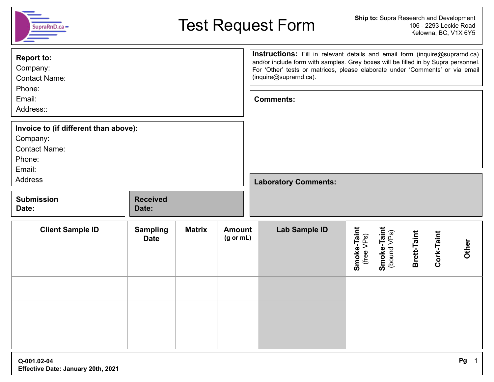| Ship to: Supra Research and Development<br><b>Test Request Form</b><br>106 - 2293 Leckie Road<br>SupraRnD.c<br>Kelowna, BC, V1X 6Y5 |                                |               |                                       |                  |                                                                                                                                                                                                                                                                              |                           |                            |             |            |       |
|-------------------------------------------------------------------------------------------------------------------------------------|--------------------------------|---------------|---------------------------------------|------------------|------------------------------------------------------------------------------------------------------------------------------------------------------------------------------------------------------------------------------------------------------------------------------|---------------------------|----------------------------|-------------|------------|-------|
| <b>Report to:</b><br>Company:<br><b>Contact Name:</b>                                                                               |                                |               |                                       |                  | Instructions: Fill in relevant details and email form (inquire@suprarnd.ca)<br>and/or include form with samples. Grey boxes will be filled in by Supra personnel.<br>For 'Other' tests or matrices, please elaborate under 'Comments' or via email<br>(inquire@suprarnd.ca). |                           |                            |             |            |       |
| Phone:<br>Email:<br>Address::                                                                                                       |                                |               |                                       | <b>Comments:</b> |                                                                                                                                                                                                                                                                              |                           |                            |             |            |       |
| Invoice to (if different than above):<br>Company:<br><b>Contact Name:</b><br>Phone:<br>Email:                                       |                                |               |                                       |                  |                                                                                                                                                                                                                                                                              |                           |                            |             |            |       |
| <b>Address</b>                                                                                                                      |                                |               |                                       |                  | <b>Laboratory Comments:</b>                                                                                                                                                                                                                                                  |                           |                            |             |            |       |
| <b>Submission</b><br>Date:                                                                                                          | <b>Received</b><br>Date:       |               |                                       |                  |                                                                                                                                                                                                                                                                              |                           |                            |             |            |       |
| <b>Client Sample ID</b>                                                                                                             | <b>Sampling</b><br><b>Date</b> | <b>Matrix</b> | <b>Amount</b><br>$(g \text{ or } mL)$ |                  | Lab Sample ID                                                                                                                                                                                                                                                                | Smoke-Taint<br>(free VPs) | Smoke-Taint<br>(bound VPs) | Brett-Taint | Cork-Taint | Other |
|                                                                                                                                     |                                |               |                                       |                  |                                                                                                                                                                                                                                                                              |                           |                            |             |            |       |
|                                                                                                                                     |                                |               |                                       |                  |                                                                                                                                                                                                                                                                              |                           |                            |             |            |       |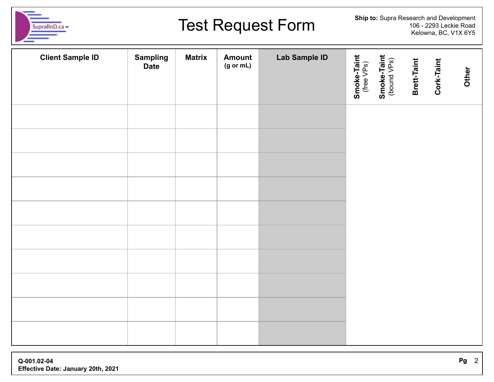

## **Test Request Form**

| <b>Client Sample ID</b> | <b>Sampling</b><br><b>Date</b> | <b>Matrix</b> | Amount<br>$(g \text{ or } mL)$ | <b>Lab Sample ID</b> | Smoke-Taint<br>(free VPs)<br>Smoke-Taint<br>(bound VPs) | Brett-Taint | Cork-Taint | Other |
|-------------------------|--------------------------------|---------------|--------------------------------|----------------------|---------------------------------------------------------|-------------|------------|-------|
|                         |                                |               |                                |                      |                                                         |             |            |       |
|                         |                                |               |                                |                      |                                                         |             |            |       |
|                         |                                |               |                                |                      |                                                         |             |            |       |
|                         |                                |               |                                |                      |                                                         |             |            |       |
|                         |                                |               |                                |                      |                                                         |             |            |       |
|                         |                                |               |                                |                      |                                                         |             |            |       |
|                         |                                |               |                                |                      |                                                         |             |            |       |
|                         |                                |               |                                |                      |                                                         |             |            |       |
|                         |                                |               |                                |                      |                                                         |             |            |       |
|                         |                                |               |                                |                      |                                                         |             |            |       |